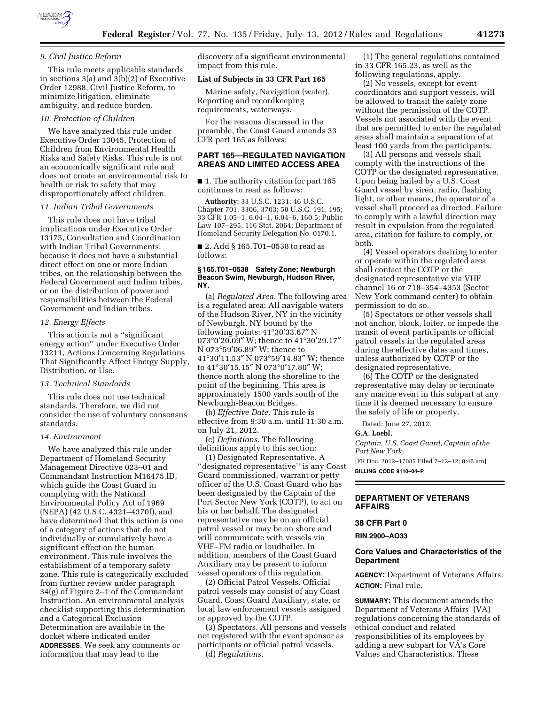

#### *9. Civil Justice Reform*

This rule meets applicable standards in sections 3(a) and 3(b)(2) of Executive Order 12988, Civil Justice Reform, to minimize litigation, eliminate ambiguity, and reduce burden.

#### *10. Protection of Children*

We have analyzed this rule under Executive Order 13045, Protection of Children from Environmental Health Risks and Safety Risks. This rule is not an economically significant rule and does not create an environmental risk to health or risk to safety that may disproportionately affect children.

#### *11. Indian Tribal Governments*

This rule does not have tribal implications under Executive Order 13175, Consultation and Coordination with Indian Tribal Governments, because it does not have a substantial direct effect on one or more Indian tribes, on the relationship between the Federal Government and Indian tribes, or on the distribution of power and responsibilities between the Federal Government and Indian tribes.

#### *12. Energy Effects*

This action is not a ''significant energy action'' under Executive Order 13211, Actions Concerning Regulations That Significantly Affect Energy Supply, Distribution, or Use.

# *13. Technical Standards*

This rule does not use technical standards. Therefore, we did not consider the use of voluntary consensus standards.

#### *14. Environment*

We have analyzed this rule under Department of Homeland Security Management Directive 023–01 and Commandant Instruction M16475.lD, which guide the Coast Guard in complying with the National Environmental Policy Act of 1969 (NEPA) (42 U.S.C. 4321–4370f), and have determined that this action is one of a category of actions that do not individually or cumulatively have a significant effect on the human environment. This rule involves the establishment of a temporary safety zone. This rule is categorically excluded from further review under paragraph 34(g) of Figure 2–1 of the Commandant Instruction. An environmental analysis checklist supporting this determination and a Categorical Exclusion Determination are available in the docket where indicated under **ADDRESSES**. We seek any comments or information that may lead to the

discovery of a significant environmental impact from this rule.

### **List of Subjects in 33 CFR Part 165**

Marine safety, Navigation (water), Reporting and recordkeeping requirements, waterways.

For the reasons discussed in the preamble, the Coast Guard amends 33 CFR part 165 as follows:

# **PART 165—REGULATED NAVIGATION AREAS AND LIMITED ACCESS AREA**

■ 1. The authority citation for part 165 continues to read as follows:

**Authority:** 33 U.S.C. 1231; 46 U.S.C. Chapter 701, 3306, 3703; 50 U.S.C. 191, 195; 33 CFR 1.05–1, 6.04–1, 6.04–6, 160.5; Public Law 107–295, 116 Stat. 2064; Department of Homeland Security Delegation No. 0170.1.

■ 2. Add § 165.T01–0538 to read as follows:

#### **§ 165.T01–0538 Safety Zone; Newburgh Beacon Swim, Newburgh, Hudson River, NY.**

(a) *Regulated Area.* The following area is a regulated area: All navigable waters of the Hudson River, NY in the vicinity of Newburgh, NY bound by the following points: 41°30′33.67″ N 073°0′20.09″ W; thence to 41°30′29.17″ N 073°59′06.89″ W; thence to 41°30′11.53″ N 073°59′14.83″ W; thence to 41°30′15.15″ N 073°0′17.80″ W; thence north along the shoreline to the point of the beginning. This area is approximately 1500 yards south of the Newburgh-Beacon Bridges.

(b) *Effective Date.* This rule is effective from 9:30 a.m. until 11:30 a.m. on July 21, 2012.

(c) *Definitions.* The following definitions apply to this section:

(1) Designated Representative. A ''designated representative'' is any Coast Guard commissioned, warrant or petty officer of the U.S. Coast Guard who has been designated by the Captain of the Port Sector New York (COTP), to act on his or her behalf. The designated representative may be on an official patrol vessel or may be on shore and will communicate with vessels via VHF–FM radio or loudhailer. In addition, members of the Coast Guard Auxiliary may be present to inform vessel operators of this regulation.

(2) Official Patrol Vessels. Official patrol vessels may consist of any Coast Guard, Coast Guard Auxiliary, state, or local law enforcement vessels assigned or approved by the COTP.

(3) Spectators. All persons and vessels not registered with the event sponsor as participants or official patrol vessels. (d) *Regulations.* 

(1) The general regulations contained in 33 CFR 165.23, as well as the following regulations, apply.

(2) No vessels, except for event coordinators and support vessels, will be allowed to transit the safety zone without the permission of the COTP. Vessels not associated with the event that are permitted to enter the regulated areas shall maintain a separation of at least 100 yards from the participants.

(3) All persons and vessels shall comply with the instructions of the COTP or the designated representative. Upon being hailed by a U.S. Coast Guard vessel by siren, radio, flashing light, or other means, the operator of a vessel shall proceed as directed. Failure to comply with a lawful direction may result in expulsion from the regulated area, citation for failure to comply, or both.

(4) Vessel operators desiring to enter or operate within the regulated area shall contact the COTP or the designated representative via VHF channel 16 or 718–354–4353 (Sector New York command center) to obtain permission to do so.

(5) Spectators or other vessels shall not anchor, block, loiter, or impede the transit of event participants or official patrol vessels in the regulated areas during the effective dates and times, unless authorized by COTP or the designated representative.

(6) The COTP or the designated representative may delay or terminate any marine event in this subpart at any time it is deemed necessary to ensure the safety of life or property.

Dated: June 27, 2012.

### **G.A. Loebl,**

*Captain, U.S. Coast Guard, Captain of the Port New York.* 

[FR Doc. 2012–17085 Filed 7–12–12; 8:45 am] **BILLING CODE 9110–04–P** 

## **DEPARTMENT OF VETERANS AFFAIRS**

# **38 CFR Part 0**

**RIN 2900–AO33** 

# **Core Values and Characteristics of the Department**

**AGENCY:** Department of Veterans Affairs. **ACTION:** Final rule.

**SUMMARY:** This document amends the Department of Veterans Affairs' (VA) regulations concerning the standards of ethical conduct and related responsibilities of its employees by adding a new subpart for VA's Core Values and Characteristics. These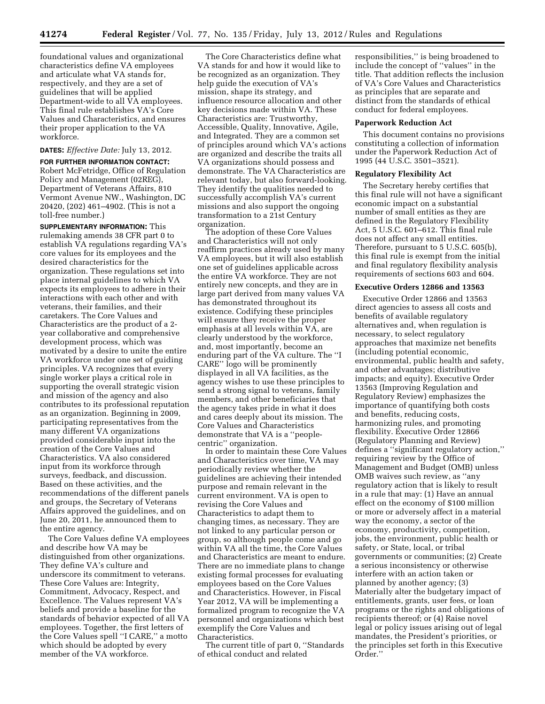foundational values and organizational characteristics define VA employees and articulate what VA stands for, respectively, and they are a set of guidelines that will be applied Department-wide to all VA employees. This final rule establishes VA's Core Values and Characteristics, and ensures their proper application to the VA workforce.

# **DATES:** *Effective Date:* July 13, 2012.

**FOR FURTHER INFORMATION CONTACT:**  Robert McFetridge, Office of Regulation Policy and Management (02REG), Department of Veterans Affairs, 810 Vermont Avenue NW., Washington, DC 20420, (202) 461–4902. (This is not a toll-free number.)

**SUPPLEMENTARY INFORMATION:** This rulemaking amends 38 CFR part 0 to establish VA regulations regarding VA's core values for its employees and the desired characteristics for the organization. These regulations set into place internal guidelines to which VA expects its employees to adhere in their interactions with each other and with veterans, their families, and their caretakers. The Core Values and Characteristics are the product of a 2 year collaborative and comprehensive development process, which was motivated by a desire to unite the entire VA workforce under one set of guiding principles. VA recognizes that every single worker plays a critical role in supporting the overall strategic vision and mission of the agency and also contributes to its professional reputation as an organization. Beginning in 2009, participating representatives from the many different VA organizations provided considerable input into the creation of the Core Values and Characteristics. VA also considered input from its workforce through surveys, feedback, and discussion. Based on these activities, and the recommendations of the different panels and groups, the Secretary of Veterans Affairs approved the guidelines, and on June 20, 2011, he announced them to the entire agency.

The Core Values define VA employees and describe how VA may be distinguished from other organizations. They define VA's culture and underscore its commitment to veterans. These Core Values are: Integrity, Commitment, Advocacy, Respect, and Excellence. The Values represent VA's beliefs and provide a baseline for the standards of behavior expected of all VA employees. Together, the first letters of the Core Values spell ''I CARE,'' a motto which should be adopted by every member of the VA workforce.

The Core Characteristics define what VA stands for and how it would like to be recognized as an organization. They help guide the execution of VA's mission, shape its strategy, and influence resource allocation and other key decisions made within VA. These Characteristics are: Trustworthy, Accessible, Quality, Innovative, Agile, and Integrated. They are a common set of principles around which VA's actions are organized and describe the traits all VA organizations should possess and demonstrate. The VA Characteristics are relevant today, but also forward-looking. They identify the qualities needed to successfully accomplish VA's current missions and also support the ongoing transformation to a 21st Century organization.

The adoption of these Core Values and Characteristics will not only reaffirm practices already used by many VA employees, but it will also establish one set of guidelines applicable across the entire VA workforce. They are not entirely new concepts, and they are in large part derived from many values VA has demonstrated throughout its existence. Codifying these principles will ensure they receive the proper emphasis at all levels within VA, are clearly understood by the workforce, and, most importantly, become an enduring part of the VA culture. The ''I CARE'' logo will be prominently displayed in all VA facilities, as the agency wishes to use these principles to send a strong signal to veterans, family members, and other beneficiaries that the agency takes pride in what it does and cares deeply about its mission. The Core Values and Characteristics demonstrate that VA is a ''peoplecentric'' organization.

In order to maintain these Core Values and Characteristics over time, VA may periodically review whether the guidelines are achieving their intended purpose and remain relevant in the current environment. VA is open to revising the Core Values and Characteristics to adapt them to changing times, as necessary. They are not linked to any particular person or group, so although people come and go within VA all the time, the Core Values and Characteristics are meant to endure. There are no immediate plans to change existing formal processes for evaluating employees based on the Core Values and Characteristics. However, in Fiscal Year 2012, VA will be implementing a formalized program to recognize the VA personnel and organizations which best exemplify the Core Values and Characteristics.

The current title of part 0, ''Standards of ethical conduct and related

responsibilities,'' is being broadened to include the concept of ''values'' in the title. That addition reflects the inclusion of VA's Core Values and Characteristics as principles that are separate and distinct from the standards of ethical conduct for federal employees.

#### **Paperwork Reduction Act**

This document contains no provisions constituting a collection of information under the Paperwork Reduction Act of 1995 (44 U.S.C. 3501–3521).

## **Regulatory Flexibility Act**

The Secretary hereby certifies that this final rule will not have a significant economic impact on a substantial number of small entities as they are defined in the Regulatory Flexibility Act, 5 U.S.C. 601–612. This final rule does not affect any small entities. Therefore, pursuant to 5 U.S.C. 605(b), this final rule is exempt from the initial and final regulatory flexibility analysis requirements of sections 603 and 604.

#### **Executive Orders 12866 and 13563**

Executive Order 12866 and 13563 direct agencies to assess all costs and benefits of available regulatory alternatives and, when regulation is necessary, to select regulatory approaches that maximize net benefits (including potential economic, environmental, public health and safety, and other advantages; distributive impacts; and equity). Executive Order 13563 (Improving Regulation and Regulatory Review) emphasizes the importance of quantifying both costs and benefits, reducing costs, harmonizing rules, and promoting flexibility. Executive Order 12866 (Regulatory Planning and Review) defines a ''significant regulatory action,'' requiring review by the Office of Management and Budget (OMB) unless OMB waives such review, as ''any regulatory action that is likely to result in a rule that may: (1) Have an annual effect on the economy of \$100 million or more or adversely affect in a material way the economy, a sector of the economy, productivity, competition, jobs, the environment, public health or safety, or State, local, or tribal governments or communities; (2) Create a serious inconsistency or otherwise interfere with an action taken or planned by another agency; (3) Materially alter the budgetary impact of entitlements, grants, user fees, or loan programs or the rights and obligations of recipients thereof; or (4) Raise novel legal or policy issues arising out of legal mandates, the President's priorities, or the principles set forth in this Executive Order.''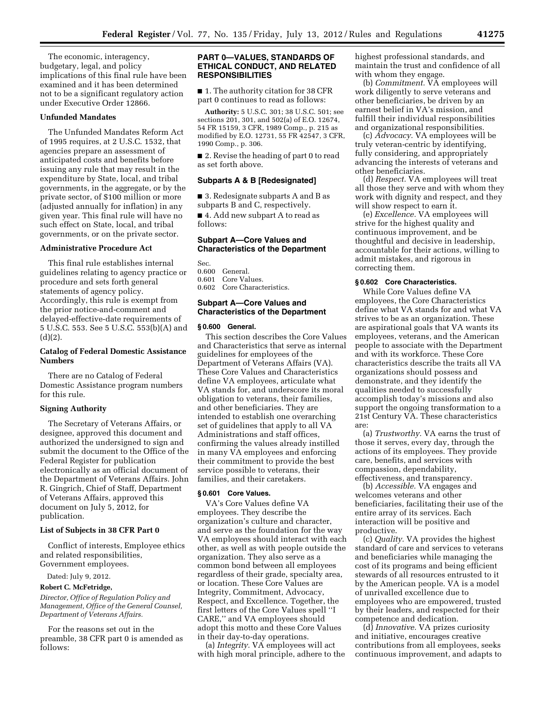The economic, interagency, budgetary, legal, and policy implications of this final rule have been examined and it has been determined not to be a significant regulatory action under Executive Order 12866.

# **Unfunded Mandates**

The Unfunded Mandates Reform Act of 1995 requires, at 2 U.S.C. 1532, that agencies prepare an assessment of anticipated costs and benefits before issuing any rule that may result in the expenditure by State, local, and tribal governments, in the aggregate, or by the private sector, of \$100 million or more (adjusted annually for inflation) in any given year. This final rule will have no such effect on State, local, and tribal governments, or on the private sector.

#### **Administrative Procedure Act**

This final rule establishes internal guidelines relating to agency practice or procedure and sets forth general statements of agency policy. Accordingly, this rule is exempt from the prior notice-and-comment and delayed-effective-date requirements of 5 U.S.C. 553. See 5 U.S.C. 553(b)(A) and  $(d)(2).$ 

# **Catalog of Federal Domestic Assistance Numbers**

There are no Catalog of Federal Domestic Assistance program numbers for this rule.

#### **Signing Authority**

The Secretary of Veterans Affairs, or designee, approved this document and authorized the undersigned to sign and submit the document to the Office of the Federal Register for publication electronically as an official document of the Department of Veterans Affairs. John R. Gingrich, Chief of Staff, Department of Veterans Affairs, approved this document on July 5, 2012, for publication.

### **List of Subjects in 38 CFR Part 0**

Conflict of interests, Employee ethics and related responsibilities, Government employees.

Dated: July 9, 2012.

# **Robert C. McFetridge,**

*Director, Office of Regulation Policy and Management, Office of the General Counsel, Department of Veterans Affairs.* 

For the reasons set out in the preamble, 38 CFR part 0 is amended as follows:

### **PART 0—VALUES, STANDARDS OF ETHICAL CONDUCT, AND RELATED RESPONSIBILITIES**

■ 1. The authority citation for 38 CFR part 0 continues to read as follows:

**Authority:** 5 U.S.C. 301; 38 U.S.C. 501; see sections 201, 301, and 502(a) of E.O. 12674, 54 FR 15159, 3 CFR, 1989 Comp., p. 215 as modified by E.O. 12731, 55 FR 42547, 3 CFR, 1990 Comp., p. 306.

■ 2. Revise the heading of part 0 to read as set forth above.

# **Subparts A & B [Redesignated]**

■ 3. Redesignate subparts A and B as subparts B and C, respectively.

■ 4. Add new subpart A to read as follows:

# **Subpart A—Core Values and Characteristics of the Department**

Sec. 0.600 General. 0.601 Core Values. 0.602 Core Characteristics.

### **Subpart A—Core Values and Characteristics of the Department**

# **§ 0.600 General.**

This section describes the Core Values and Characteristics that serve as internal guidelines for employees of the Department of Veterans Affairs (VA). These Core Values and Characteristics define VA employees, articulate what VA stands for, and underscore its moral obligation to veterans, their families, and other beneficiaries. They are intended to establish one overarching set of guidelines that apply to all VA Administrations and staff offices, confirming the values already instilled in many VA employees and enforcing their commitment to provide the best service possible to veterans, their families, and their caretakers.

# **§ 0.601 Core Values.**

VA's Core Values define VA employees. They describe the organization's culture and character, and serve as the foundation for the way VA employees should interact with each other, as well as with people outside the organization. They also serve as a common bond between all employees regardless of their grade, specialty area, or location. These Core Values are Integrity, Commitment, Advocacy, Respect, and Excellence. Together, the first letters of the Core Values spell ''I CARE,'' and VA employees should adopt this motto and these Core Values in their day-to-day operations.

(a) *Integrity.* VA employees will act with high moral principle, adhere to the highest professional standards, and maintain the trust and confidence of all with whom they engage.

(b) *Commitment.* VA employees will work diligently to serve veterans and other beneficiaries, be driven by an earnest belief in VA's mission, and fulfill their individual responsibilities and organizational responsibilities.

(c) *Advocacy.* VA employees will be truly veteran-centric by identifying, fully considering, and appropriately advancing the interests of veterans and other beneficiaries.

(d) *Respect.* VA employees will treat all those they serve and with whom they work with dignity and respect, and they will show respect to earn it.

(e) *Excellence.* VA employees will strive for the highest quality and continuous improvement, and be thoughtful and decisive in leadership, accountable for their actions, willing to admit mistakes, and rigorous in correcting them.

# **§ 0.602 Core Characteristics.**

While Core Values define VA employees, the Core Characteristics define what VA stands for and what VA strives to be as an organization. These are aspirational goals that VA wants its employees, veterans, and the American people to associate with the Department and with its workforce. These Core characteristics describe the traits all VA organizations should possess and demonstrate, and they identify the qualities needed to successfully accomplish today's missions and also support the ongoing transformation to a 21st Century VA. These characteristics are:

(a) *Trustworthy.* VA earns the trust of those it serves, every day, through the actions of its employees. They provide care, benefits, and services with compassion, dependability, effectiveness, and transparency.

(b) *Accessible.* VA engages and welcomes veterans and other beneficiaries, facilitating their use of the entire array of its services. Each interaction will be positive and productive.

(c) *Quality.* VA provides the highest standard of care and services to veterans and beneficiaries while managing the cost of its programs and being efficient stewards of all resources entrusted to it by the American people. VA is a model of unrivalled excellence due to employees who are empowered, trusted by their leaders, and respected for their competence and dedication.

(d) *Innovative.* VA prizes curiosity and initiative, encourages creative contributions from all employees, seeks continuous improvement, and adapts to